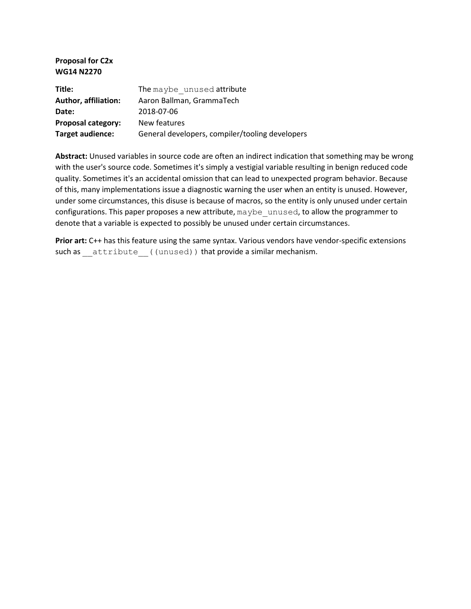### **Proposal for C2x WG14 N2270**

| Title:                    | The maybe unused attribute                      |
|---------------------------|-------------------------------------------------|
| Author, affiliation:      | Aaron Ballman, GrammaTech                       |
| Date:                     | 2018-07-06                                      |
| <b>Proposal category:</b> | New features                                    |
| Target audience:          | General developers, compiler/tooling developers |

**Abstract:** Unused variables in source code are often an indirect indication that something may be wrong with the user's source code. Sometimes it's simply a vestigial variable resulting in benign reduced code quality. Sometimes it's an accidental omission that can lead to unexpected program behavior. Because of this, many implementations issue a diagnostic warning the user when an entity is unused. However, under some circumstances, this disuse is because of macros, so the entity is only unused under certain configurations. This paper proposes a new attribute, maybe unused, to allow the programmer to denote that a variable is expected to possibly be unused under certain circumstances.

Prior art: C++ has this feature using the same syntax. Various vendors have vendor-specific extensions such as attribute ((unused)) that provide a similar mechanism.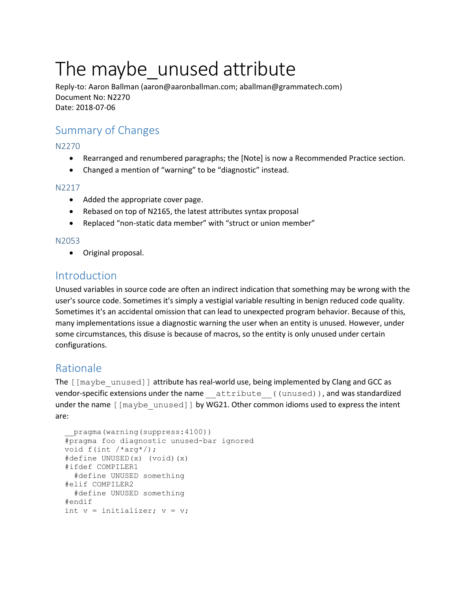# The maybe unused attribute

Reply-to: Aaron Ballman (aaron@aaronballman.com; aballman@grammatech.com) Document No: N2270 Date: 2018-07-06

# Summary of Changes

### N2270

- Rearranged and renumbered paragraphs; the [Note] is now a Recommended Practice section.
- Changed a mention of "warning" to be "diagnostic" instead.

### N2217

- Added the appropriate cover page.
- Rebased on top of N2165, the latest attributes syntax proposal
- Replaced "non-static data member" with "struct or union member"

### N2053

• Original proposal.

### Introduction

Unused variables in source code are often an indirect indication that something may be wrong with the user's source code. Sometimes it's simply a vestigial variable resulting in benign reduced code quality. Sometimes it's an accidental omission that can lead to unexpected program behavior. Because of this, many implementations issue a diagnostic warning the user when an entity is unused. However, under some circumstances, this disuse is because of macros, so the entity is only unused under certain configurations.

# Rationale

The [[maybe\_unused]] attribute has real-world use, being implemented by Clang and GCC as vendor-specific extensions under the name \_\_attribute\_\_((unused)), and was standardized under the name [[maybe\_unused]] by WG21. Other common idioms used to express the intent are:

```
pragma(warning(suppress: 4100))
 #pragma foo diagnostic unused-bar ignored
void f(int / *arg* / ); #define UNUSED(x) (void)(x)
 #ifdef COMPILER1
   #define UNUSED something
 #elif COMPILER2
  #define UNUSED something
 #endif
int v = initializer; v = v;
```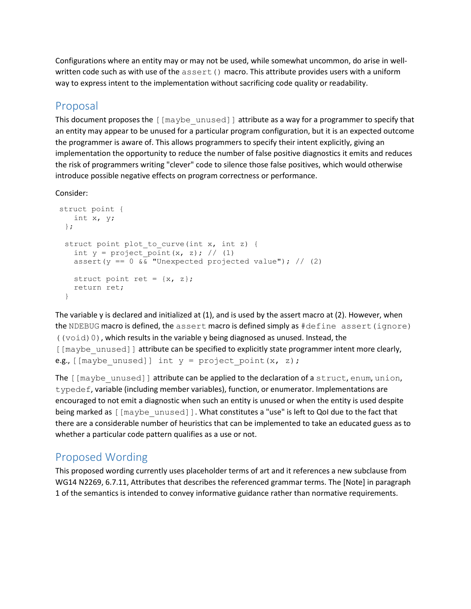Configurations where an entity may or may not be used, while somewhat uncommon, do arise in wellwritten code such as with use of the assert() macro. This attribute provides users with a uniform way to express intent to the implementation without sacrificing code quality or readability.

## Proposal

This document proposes the [[maybe unused]] attribute as a way for a programmer to specify that an entity may appear to be unused for a particular program configuration, but it is an expected outcome the programmer is aware of. This allows programmers to specify their intent explicitly, giving an implementation the opportunity to reduce the number of false positive diagnostics it emits and reduces the risk of programmers writing "clever" code to silence those false positives, which would otherwise introduce possible negative effects on program correctness or performance.

Consider:

```
 struct point {
   int x, y;
  };
 struct point plot to curve(int x, int z) {
   int y = project point(x, z); // (1)assert(y == 0 && "Unexpected projected value"); // (2)
   struct point ret = \{x, z\};
    return ret;
  }
```
The variable y is declared and initialized at (1), and is used by the assert macro at (2). However, when the NDEBUG macro is defined, the assert macro is defined simply as #define assert (ignore)  $($  ( $void)$ ), which results in the variable y being diagnosed as unused. Instead, the [[maybe\_unused]] attribute can be specified to explicitly state programmer intent more clearly, e.g., [[maybe unused]] int  $y = project$  point(x, z);

The [[maybe\_unused]] attribute can be applied to the declaration of a struct, enum, union, typedef, variable (including member variables), function, or enumerator. Implementations are encouraged to not emit a diagnostic when such an entity is unused or when the entity is used despite being marked as [[maybe\_unused]]. What constitutes a "use" is left to QoI due to the fact that there are a considerable number of heuristics that can be implemented to take an educated guess as to whether a particular code pattern qualifies as a use or not.

# Proposed Wording

This proposed wording currently uses placeholder terms of art and it references a new subclause from WG14 N2269, 6.7.11, Attributes that describes the referenced grammar terms. The [Note] in paragraph 1 of the semantics is intended to convey informative guidance rather than normative requirements.